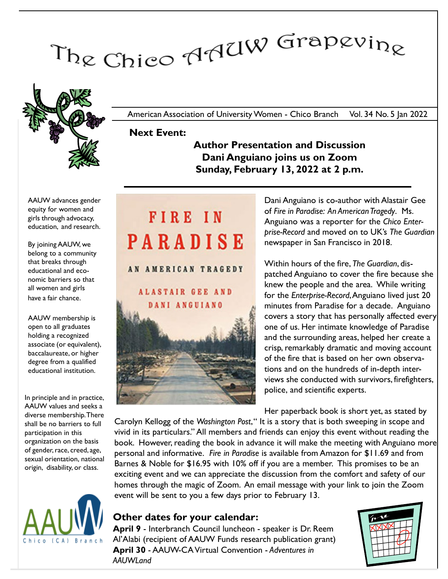# The Chico AAUW Grapevine



American Association of University Women - Chico Branch Vol. 34 No. 5 Jan 2022

## Next Event:

Author Presentation and Discussion Dani Anguiano joins us on Zoom Sunday, February 13, 2022 at 2 p.m.

AAUW advances gender equity for women and girls through advocacy, education, and research.

By joining AAUW, we belong to a community that breaks through educational and economic barriers so that all women and girls have a fair chance.

AAUW membership is open to all graduates holding a recognized associate (or equivalent), baccalaureate, or higher degree from a qualified educational institution.

In principle and in practice, AAUW values and seeks a diverse membership. There shall be no barriers to full participation in this organization on the basis of gender, race, creed, age, sexual orientation, national origin, disability, or class.



# FIRE IN PARADISE

AN AMERICAN TRAGEDY

**ALASTAIR GEE AND** DANI ANGUIANO



Dani Anguiano is co-author with Alastair Gee of Fire in Paradise: An American Tragedy. Ms. Anguiano was a reporter for the Chico Enterprise-Record and moved on to UK's The Guardian newspaper in San Francisco in 2018.

Within hours of the fire, The Guardian, dispatched Anguiano to cover the fire because she knew the people and the area. While writing for the Enterprise-Record, Anguiano lived just 20 minutes from Paradise for a decade. Anguiano covers a story that has personally affected every one of us. Her intimate knowledge of Paradise and the surrounding areas, helped her create a crisp, remarkably dramatic and moving account of the fire that is based on her own observations and on the hundreds of in-depth interviews she conducted with survivors, firefighters, police, and scientific experts.

Her paperback book is short yet, as stated by

Carolyn Kellogg of the Washington Post," It is a story that is both sweeping in scope and vivid in its particulars." All members and friends can enjoy this event without reading the book. However, reading the book in advance it will make the meeting with Anguiano more personal and informative. Fire in Paradise is available from Amazon for \$11.69 and from Barnes & Noble for \$16.95 with 10% off if you are a member. This promises to be an exciting event and we can appreciate the discussion from the comfort and safety of our homes through the magic of Zoom. An email message with your link to join the Zoom event will be sent to you a few days prior to February 13.

# Other dates for your calendar:

April 9 - Interbranch Council luncheon - speaker is Dr. Reem Al'Alabi (recipient of AAUW Funds research publication grant) April 30 - AAUW-CA Virtual Convention - Adventures in AAUWL<sub>and</sub>

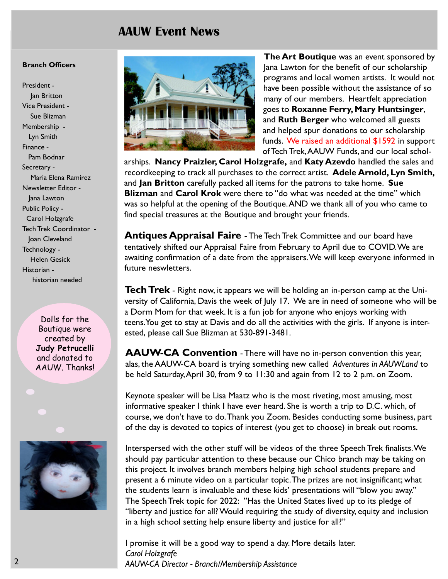# AAUW Event News

#### Branch Officers

President - Jan Britton Vice President - Sue Blizman Membership - Lyn Smith Finance - Pam Bodnar Secretary - Maria Elena Ramirez Newsletter Editor - Jana Lawton Public Policy - Carol Holzgrafe Tech Trek Coordinator - Joan Cleveland Technology - Helen Gesick Historian historian needed

> Dolls for the Boutique were created by Judy Petrucelli and donated to AAUW. Thanks!





The Art Boutique was an event sponsored by Jana Lawton for the benefit of our scholarship programs and local women artists. It would not have been possible without the assistance of so many of our members. Heartfelt appreciation goes to Roxanne Ferry, Mary Huntsinger, and Ruth Berger who welcomed all guests and helped spur donations to our scholarship funds. We raised an additional \$1592 in support of Tech Trek,AAUW Funds, and our local schol-

arships. Nancy Praizler, Carol Holzgrafe, and Katy Azevdo handled the sales and recordkeeping to track all purchases to the correct artist. Adele Arnold, Lyn Smith, and Jan Britton carefully packed all items for the patrons to take home. Sue **Blizman and Carol Krok** were there to "do what was needed at the time" which was so helpful at the opening of the Boutique. AND we thank all of you who came to find special treasures at the Boutique and brought your friends.

**Antiques Appraisal Faire** - The Tech Trek Committee and our board have tentatively shifted our Appraisal Faire from February to April due to COVID. We are awaiting confirmation of a date from the appraisers. We will keep everyone informed in future neswletters.

**Tech Trek** - Right now, it appears we will be holding an in-person camp at the University of California, Davis the week of July 17. We are in need of someone who will be a Dorm Mom for that week. It is a fun job for anyone who enjoys working with teens.You get to stay at Davis and do all the activities with the girls. If anyone is interested, please call Sue Blizman at 530-891-3481.

AAUW-CA Convention - There will have no in-person convention this year, alas, the AAUW-CA board is trying something new called Adventures in AAUWLand to be held Saturday, April 30, from 9 to 11:30 and again from 12 to 2 p.m. on Zoom.

Keynote speaker will be Lisa Maatz who is the most riveting, most amusing, most informative speaker I think I have ever heard. She is worth a trip to D.C. which, of course, we don't have to do. Thank you Zoom. Besides conducting some business, part of the day is devoted to topics of interest (you get to choose) in break out rooms.

Interspersed with the other stuff will be videos of the three Speech Trek finalists. We should pay particular attention to these because our Chico branch may be taking on this project. It involves branch members helping high school students prepare and present a 6 minute video on a particular topic. The prizes are not insignificant; what the students learn is invaluable and these kids' presentations will "blow you away." The Speech Trek topic for 2022: "Has the United States lived up to its pledge of "liberty and justice for all? Would requiring the study of diversity, equity and inclusion in a high school setting help ensure liberty and justice for all?"

I promise it will be a good way to spend a day. More details later. Carol Holzgrafe AAUW-CA Director - Branch/Membership Assistance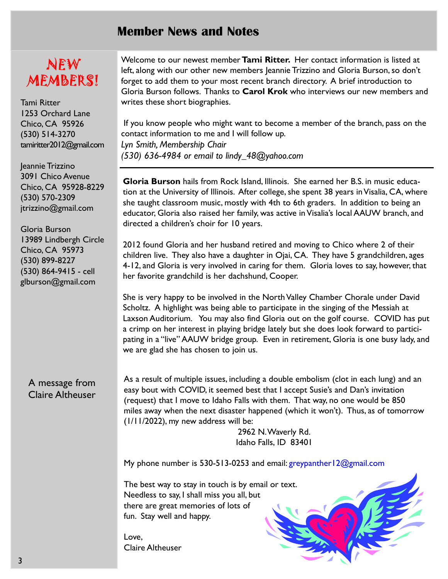# Member News and Notes

# NEW MEMBERS!

Tami Ritter 1253 Orchard Lane Chico, CA 95926 (530) 514-3270 tamiritter2012@gmail.com

Jeannie Trizzino 3091 Chico Avenue Chico, CA 95928-8229 (530) 570-2309 jtrizzino@gmail.com

Gloria Burson 13989 Lindbergh Circle Chico, CA 95973 (530) 899-8227 (530) 864-9415 - cell glburson@gmail.com

A message from Claire Altheuser Welcome to our newest member Tami Ritter. Her contact information is listed at left, along with our other new members Jeannie Trizzino and Gloria Burson, so don't forget to add them to your most recent branch directory. A brief introduction to Gloria Burson follows. Thanks to Carol Krok who interviews our new members and writes these short biographies.

 If you know people who might want to become a member of the branch, pass on the contact information to me and I will follow up. Lyn Smith, Membership Chair (530) 636-4984 or email to lindy\_48@yahoo.com

Gloria Burson hails from Rock Island, Illinois. She earned her B.S. in music education at the University of Illinois. After college, she spent 38 years in Visalia, CA, where she taught classroom music, mostly with 4th to 6th graders. In addition to being an educator, Gloria also raised her family, was active in Visalia's local AAUW branch, and directed a children's choir for 10 years.

2012 found Gloria and her husband retired and moving to Chico where 2 of their children live. They also have a daughter in Ojai, CA. They have 5 grandchildren, ages 4-12, and Gloria is very involved in caring for them. Gloria loves to say, however, that her favorite grandchild is her dachshund, Cooper.

She is very happy to be involved in the North Valley Chamber Chorale under David Scholtz. A highlight was being able to participate in the singing of the Messiah at Laxson Auditorium. You may also find Gloria out on the golf course. COVID has put a crimp on her interest in playing bridge lately but she does look forward to participating in a "live" AAUW bridge group. Even in retirement, Gloria is one busy lady, and we are glad she has chosen to join us.

As a result of multiple issues, including a double embolism (clot in each lung) and an easy bout with COVID, it seemed best that I accept Susie's and Dan's invitation (request) that I move to Idaho Falls with them. That way, no one would be 850 miles away when the next disaster happened (which it won't). Thus, as of tomorrow (1/11/2022), my new address will be:

> 2962 N. Waverly Rd. Idaho Falls, ID 83401

My phone number is 530-513-0253 and email: greypanther12@gmail.com

The best way to stay in touch is by email or text. Needless to say, I shall miss you all, but there are great memories of lots of fun. Stay well and happy.

Love, Claire Altheuser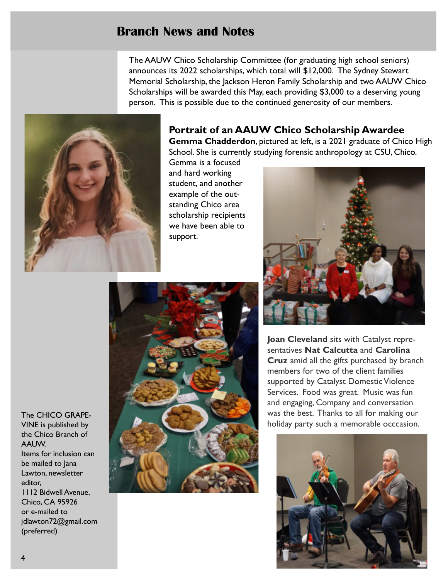# Branch News and Notes

The AAUW Chico Scholarship Committee (for graduating high school seniors) announces its 2022 scholarships, which total will \$12,000. The Sydney Stewart Memorial Scholarship, the Jackson Heron Family Scholarship and two AAUW Chico Scholarships will be awarded this May, each providing \$3,000 to a deserving young person. This is possible due to the continued generosity of our members.



# Portrait of an AAUW Chico Scholarship Awardee

Gemma Chadderdon, pictured at left, is a 2021 graduate of Chico High School. She is currently studying forensic anthropology at CSU, Chico.

Gemma is a focused and hard working student, and another example of the outstanding Chico area scholarship recipients we have been able to support.



Joan Cleveland sits with Catalyst representatives Nat Calcutta and Carolina Cruz amid all the gifts purchased by branch members for two of the client families supported by Catalyst Domestic Violence Services. Food was great. Music was fun and engaging, Company and conversation was the best. Thanks to all for making our holiday party such a memorable occcasion.



The CHICO GRAPE-VINE is published by the Chico Branch of AAUW. Items for inclusion can be mailed to Jana Lawton, newsletter editor, 1112 Bidwell Avenue, Chico, CA 95926 or e-mailed to jdlawton72@gmail.com (preferred)

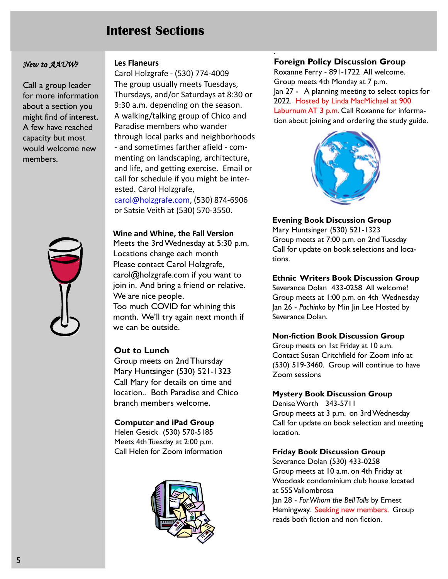# Interest Sections

#### New to AAUW?

Call a group leader for more information about a section you might find of interest. A few have reached capacity but most would welcome new members.



Les Flaneurs

Carol Holzgrafe - (530) 774-4009 The group usually meets Tuesdays, Thursdays, and/or Saturdays at 8:30 or 9:30 a.m. depending on the season. A walking/talking group of Chico and Paradise members who wander through local parks and neighborhoods - and sometimes farther afield - commenting on landscaping, architecture, and life, and getting exercise. Email or call for schedule if you might be interested. Carol Holzgrafe, carol@holzgrafe.com, (530) 874-6906 or Satsie Veith at (530) 570-3550.

Wine and Whine, the Fall Version Meets the 3rd Wednesday at 5:30 p.m. Locations change each month Please contact Carol Holzgrafe, carol@holzgrafe.com if you want to join in. And bring a friend or relative. We are nice people. Too much COVID for whining this month. We'll try again next month if we can be outside.

#### Out to Lunch

Group meets on 2nd Thursday Mary Huntsinger (530) 521-1323 Call Mary for details on time and location.. Both Paradise and Chico branch members welcome.

#### Computer and iPad Group

Helen Gesick (530) 570-5185 Meets 4th Tuesday at 2:00 p.m. Call Helen for Zoom information



### Foreign Policy Discussion Group

.

Roxanne Ferry - 891-1722 All welcome. Group meets 4th Monday at 7 p.m. Jan 27 - A planning meeting to select topics for 2022. Hosted by Linda MacMichael at 900 Laburnum AT 3 p.m. Call Roxanne for information about joining and ordering the study guide.



Evening Book Discussion Group Mary Huntsinger (530) 521-1323 Group meets at 7:00 p.m. on 2nd Tuesday Call for update on book selections and locations.

Ethnic Writers Book Discussion Group

Severance Dolan 433-0258 All welcome! Group meets at 1:00 p.m. on 4th Wednesday Jan 26 - Pachinko by Min Jin Lee Hosted by Severance Dolan.

#### Non-fiction Book Discussion Group

Group meets on 1st Friday at 10 a.m. Contact Susan Critchfield for Zoom info at (530) 519-3460. Group will continue to have Zoom sessions

#### Mystery Book Discussion Group

Denise Worth 343-5711 Group meets at 3 p.m. on 3rd Wednesday Call for update on book selection and meeting location.

#### Friday Book Discussion Group

Severance Dolan (530) 433-0258 Group meets at 10 a.m. on 4th Friday at Woodoak condominium club house located at 555 Vallombrosa Jan 28 - For Whom the Bell Tolls by Ernest Hemingway. Seeking new members. Group reads both fiction and non fiction.